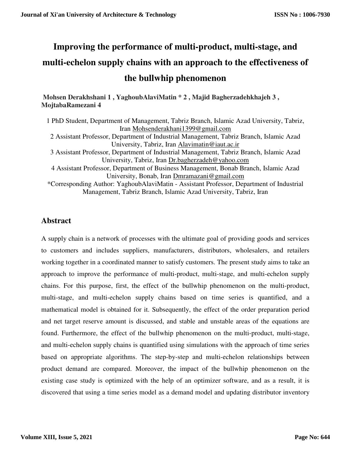# **Improving the performance of multi-product, multi-stage, and multi-echelon supply chains with an approach to the effectiveness of the bullwhip phenomenon**

 **Mohsen Derakhshani 1 , YaghoubAlaviMatin \* 2 , Majid Bagherzadehkhajeh 3 , MojtabaRamezani 4** 

1 PhD Student, Department of Management, Tabriz Branch, Islamic Azad University, Tabriz, Iran Mohsenderakhani1399@gmail.com 2 Assistant Professor, Department of Industrial Management, Tabriz Branch, Islamic Azad University, Tabriz, Iran Alavimatin@iaut.ac.ir 3 Assistant Professor, Department of Industrial Management, Tabriz Branch, Islamic Azad University, Tabriz, Iran Dr.bagherzadeh@yahoo.com 4 Assistant Professor, Department of Business Management, Bonab Branch, Islamic Azad University, Bonab, Iran Dmramazani@gmail.com \*Corresponding Author: YaghoubAlaviMatin - Assistant Professor, Department of Industrial Management, Tabriz Branch, Islamic Azad University, Tabriz, Iran

# **Abstract**

A supply chain is a network of processes with the ultimate goal of providing goods and services to customers and includes suppliers, manufacturers, distributors, wholesalers, and retailers working together in a coordinated manner to satisfy customers. The present study aims to take an approach to improve the performance of multi-product, multi-stage, and multi-echelon supply chains. For this purpose, first, the effect of the bullwhip phenomenon on the multi-product, multi-stage, and multi-echelon supply chains based on time series is quantified, and a mathematical model is obtained for it. Subsequently, the effect of the order preparation period and net target reserve amount is discussed, and stable and unstable areas of the equations are found. Furthermore, the effect of the bullwhip phenomenon on the multi-product, multi-stage, and multi-echelon supply chains is quantified using simulations with the approach of time series based on appropriate algorithms. The step-by-step and multi-echelon relationships between product demand are compared. Moreover, the impact of the bullwhip phenomenon on the existing case study is optimized with the help of an optimizer software, and as a result, it is discovered that using a time series model as a demand model and updating distributor inventory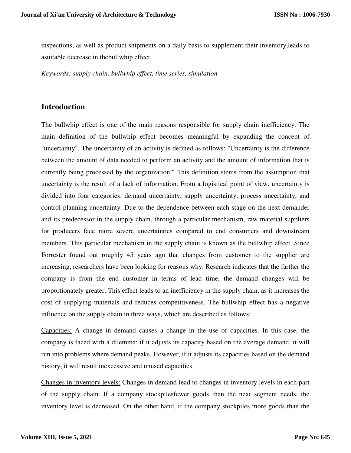inspections, as well as product shipments on a daily basis to supplement their inventory,leads to asuitable decrease in thebullwhip effect.

*Keywords: supply chain, bullwhip effect, time series, simulation* 

# **Introduction**

The bullwhip effect is one of the main reasons responsible for supply chain inefficiency. The main definition of the bullwhip effect becomes meaningful by expanding the concept of "uncertainty". The uncertainty of an activity is defined as follows: "Uncertainty is the difference between the amount of data needed to perform an activity and the amount of information that is currently being processed by the organization." This definition stems from the assumption that uncertainty is the result of a lack of information. From a logistical point of view, uncertainty is divided into four categories: demand uncertainty, supply uncertainty, process uncertainty, and control planning uncertainty. Due to the dependence between each stage on the next demander and its predecessor in the supply chain, through a particular mechanism, raw material suppliers for producers face more severe uncertainties compared to end consumers and downstream members. This particular mechanism in the supply chain is known as the bullwhip effect. Since Forrester found out roughly 45 years ago that changes from customer to the supplier are increasing, researchers have been looking for reasons why. Research indicates that the farther the company is from the end customer in terms of lead time, the demand changes will be proportionately greater. This effect leads to an inefficiency in the supply chain, as it increases the cost of supplying materials and reduces competitiveness. The bullwhip effect has a negative influence on the supply chain in three ways, which are described as follows:

Capacities: A change in demand causes a change in the use of capacities. In this case, the company is faced with a dilemma: if it adjusts its capacity based on the average demand, it will run into problems where demand peaks. However, if it adjusts its capacities based on the demand history, it will result inexcessive and unused capacities.

Changes in inventory levels: Changes in demand lead to changes in inventory levels in each part of the supply chain. If a company stockpilesfewer goods than the next segment needs, the inventory level is decreased. On the other hand, if the company stockpiles more goods than the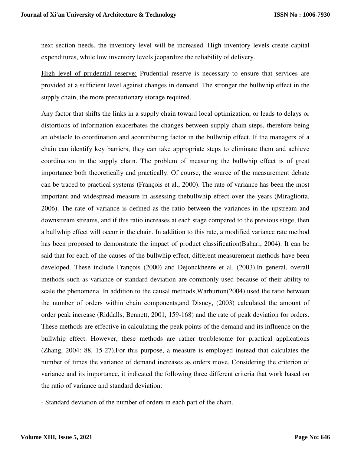next section needs, the inventory level will be increased. High inventory levels create capital expenditures, while low inventory levels jeopardize the reliability of delivery.

High level of prudential reserve: Prudential reserve is necessary to ensure that services are provided at a sufficient level against changes in demand. The stronger the bullwhip effect in the supply chain, the more precautionary storage required.

Any factor that shifts the links in a supply chain toward local optimization, or leads to delays or distortions of information exacerbates the changes between supply chain steps, therefore being an obstacle to coordination and acontributing factor in the bullwhip effect. If the managers of a chain can identify key barriers, they can take appropriate steps to eliminate them and achieve coordination in the supply chain. The problem of measuring the bullwhip effect is of great importance both theoretically and practically. Of course, the source of the measurement debate can be traced to practical systems (François et al., 2000). The rate of variance has been the most important and widespread measure in assessing thebullwhip effect over the years (Miragliotta, 2006). The rate of variance is defined as the ratio between the variances in the upstream and downstream streams, and if this ratio increases at each stage compared to the previous stage, then a bullwhip effect will occur in the chain. In addition to this rate, a modified variance rate method has been proposed to demonstrate the impact of product classification(Bahari, 2004). It can be said that for each of the causes of the bullwhip effect, different measurement methods have been developed. These include François (2000) and Dejonckheere et al. (2003).In general, overall methods such as variance or standard deviation are commonly used because of their ability to scale the phenomena. In addition to the causal methods,Warburton(2004) used the ratio between the number of orders within chain components,and Disney, (2003) calculated the amount of order peak increase (Riddalls, Bennett, 2001, 159-168) and the rate of peak deviation for orders. These methods are effective in calculating the peak points of the demand and its influence on the bullwhip effect. However, these methods are rather troublesome for practical applications (Zhang, 2004: 88, 15-27).For this purpose, a measure is employed instead that calculates the number of times the variance of demand increases as orders move. Considering the criterion of variance and its importance, it indicated the following three different criteria that work based on the ratio of variance and standard deviation:

- Standard deviation of the number of orders in each part of the chain.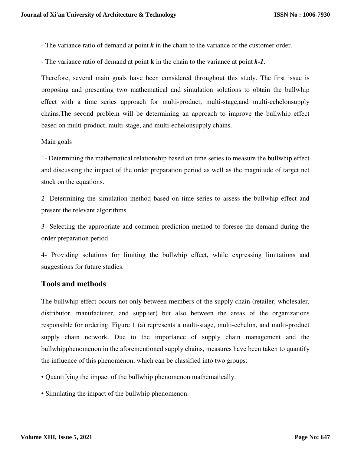- The variance ratio of demand at point *k* in the chain to the variance of the customer order.
- The variance ratio of demand at point **k** in the chain to the variance at point *k-1*.

Therefore, several main goals have been considered throughout this study. The first issue is proposing and presenting two mathematical and simulation solutions to obtain the bullwhip effect with a time series approach for multi-product, multi-stage,and multi-echelonsupply chains.The second problem will be determining an approach to improve the bullwhip effect based on multi-product, multi-stage, and multi-echelonsupply chains.

## Main goals

1- Determining the mathematical relationship based on time series to measure the bullwhip effect and discussing the impact of the order preparation period as well as the magnitude of target net stock on the equations.

2- Determining the simulation method based on time series to assess the bullwhip effect and present the relevant algorithms.

3- Selecting the appropriate and common prediction method to foresee the demand during the order preparation period.

4- Providing solutions for limiting the bullwhip effect, while expressing limitations and suggestions for future studies.

## **Tools and methods**

The bullwhip effect occurs not only between members of the supply chain (retailer, wholesaler, distributor, manufacturer, and supplier) but also between the areas of the organizations responsible for ordering. Figure 1 (a) represents a multi-stage, multi-echelon, and multi-product supply chain network. Due to the importance of supply chain management and the bullwhipphenomenon in the aforementioned supply chains, measures have been taken to quantify the influence of this phenomenon, which can be classified into two groups:

- Quantifying the impact of the bullwhip phenomenon mathematically.
- Simulating the impact of the bullwhip phenomenon.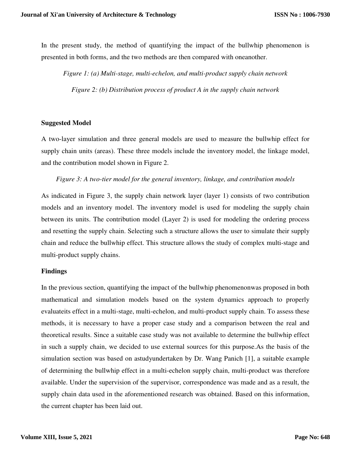In the present study, the method of quantifying the impact of the bullwhip phenomenon is presented in both forms, and the two methods are then compared with oneanother.

*Figure 1: (a) Multi-stage, multi-echelon, and multi-product supply chain network Figure 2: (b) Distribution process of product A in the supply chain network* 

#### **Suggested Model**

A two-layer simulation and three general models are used to measure the bullwhip effect for supply chain units (areas). These three models include the inventory model, the linkage model, and the contribution model shown in Figure 2.

#### *Figure 3: A two-tier model for the general inventory, linkage, and contribution models*

As indicated in Figure 3, the supply chain network layer (layer 1) consists of two contribution models and an inventory model. The inventory model is used for modeling the supply chain between its units. The contribution model (Layer 2) is used for modeling the ordering process and resetting the supply chain. Selecting such a structure allows the user to simulate their supply chain and reduce the bullwhip effect. This structure allows the study of complex multi-stage and multi-product supply chains.

#### **Findings**

In the previous section, quantifying the impact of the bullwhip phenomenonwas proposed in both mathematical and simulation models based on the system dynamics approach to properly evaluateits effect in a multi-stage, multi-echelon, and multi-product supply chain. To assess these methods, it is necessary to have a proper case study and a comparison between the real and theoretical results. Since a suitable case study was not available to determine the bullwhip effect in such a supply chain, we decided to use external sources for this purpose.As the basis of the simulation section was based on astudyundertaken by Dr. Wang Panich [1], a suitable example of determining the bullwhip effect in a multi-echelon supply chain, multi-product was therefore available. Under the supervision of the supervisor, correspondence was made and as a result, the supply chain data used in the aforementioned research was obtained. Based on this information, the current chapter has been laid out.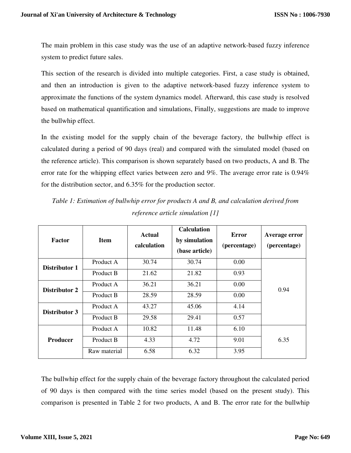The main problem in this case study was the use of an adaptive network-based fuzzy inference system to predict future sales.

This section of the research is divided into multiple categories. First, a case study is obtained, and then an introduction is given to the adaptive network-based fuzzy inference system to approximate the functions of the system dynamics model. Afterward, this case study is resolved based on mathematical quantification and simulations, Finally, suggestions are made to improve the bullwhip effect.

In the existing model for the supply chain of the beverage factory, the bullwhip effect is calculated during a period of 90 days (real) and compared with the simulated model (based on the reference article). This comparison is shown separately based on two products, A and B. The error rate for the whipping effect varies between zero and 9%. The average error rate is 0.94% for the distribution sector, and 6.35% for the production sector.

| Factor          | <b>Item</b>  | <b>Actual</b><br>calculation | <b>Calculation</b><br>by simulation<br>(base article) | Error<br>(percentage) | Average error<br>(percentage) |  |
|-----------------|--------------|------------------------------|-------------------------------------------------------|-----------------------|-------------------------------|--|
| Distributor 1   | Product A    | 30.74                        | 30.74                                                 | 0.00                  |                               |  |
|                 | Product B    | 21.62                        | 21.82                                                 | 0.93                  | 0.94                          |  |
| Distributor 2   | Product A    | 36.21                        | 36.21                                                 | 0.00                  |                               |  |
|                 | Product B    | 28.59                        | 28.59                                                 | 0.00                  |                               |  |
| Distributor 3   | Product A    | 43.27                        | 45.06                                                 | 4.14                  |                               |  |
|                 | Product B    | 29.58                        | 29.41                                                 | 0.57                  |                               |  |
|                 | Product A    | 10.82                        | 11.48                                                 | 6.10                  |                               |  |
| <b>Producer</b> | Product B    | 4.33                         | 4.72                                                  | 9.01                  | 6.35                          |  |
|                 | Raw material | 6.58                         | 6.32                                                  | 3.95                  |                               |  |

*Table 1: Estimation of bullwhip error for products A and B, and calculation derived from reference article simulation [1]* 

The bullwhip effect for the supply chain of the beverage factory throughout the calculated period of 90 days is then compared with the time series model (based on the present study). This comparison is presented in Table 2 for two products, A and B. The error rate for the bullwhip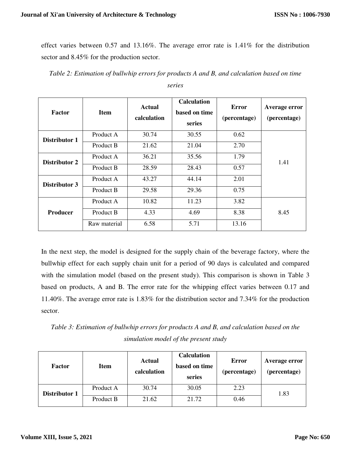effect varies between 0.57 and 13.16%. The average error rate is 1.41% for the distribution sector and 8.45% for the production sector.

|  |  |  |  |  | Table 2: Estimation of bullwhip errors for products A and B, and calculation based on time |  |
|--|--|--|--|--|--------------------------------------------------------------------------------------------|--|
|--|--|--|--|--|--------------------------------------------------------------------------------------------|--|

| <b>Factor</b>   | <b>Item</b>  | <b>Actual</b><br>calculation | <b>Calculation</b><br>based on time<br>series | <b>Error</b><br>(percentage) | Average error<br>(percentage) |
|-----------------|--------------|------------------------------|-----------------------------------------------|------------------------------|-------------------------------|
| Distributor 1   | Product A    | 30.74                        | 30.55                                         | 0.62                         |                               |
|                 | Product B    | 21.62                        | 21.04                                         | 2.70                         | 1.41                          |
| Distributor 2   | Product A    | 36.21                        | 35.56                                         | 1.79                         |                               |
|                 | Product B    | 28.59                        | 28.43                                         | 0.57                         |                               |
| Distributor 3   | Product A    | 43.27                        | 44.14                                         | 2.01                         |                               |
|                 | Product B    | 29.58                        | 29.36                                         | 0.75                         |                               |
| <b>Producer</b> | Product A    | 10.82                        | 11.23                                         | 3.82                         |                               |
|                 | Product B    | 4.33                         | 4.69                                          | 8.38                         | 8.45                          |
|                 | Raw material | 6.58                         | 5.71                                          | 13.16                        |                               |

In the next step, the model is designed for the supply chain of the beverage factory, where the bullwhip effect for each supply chain unit for a period of 90 days is calculated and compared with the simulation model (based on the present study). This comparison is shown in Table 3 based on products, A and B. The error rate for the whipping effect varies between 0.17 and 11.40%. The average error rate is 1.83% for the distribution sector and 7.34% for the production sector.

*Table 3: Estimation of bullwhip errors for products A and B, and calculation based on the simulation model of the present study* 

| <b>Factor</b> | <b>Item</b> | <b>Actual</b><br>calculation | <b>Calculation</b><br>based on time<br>series | Error<br>(percentage) | Average error<br>(percentage) |  |
|---------------|-------------|------------------------------|-----------------------------------------------|-----------------------|-------------------------------|--|
| Distributor 1 | Product A   | 30.74                        | 30.05                                         | 2.23                  | 1.83                          |  |
|               | Product B   | 21.62                        | 21.72                                         | 0.46                  |                               |  |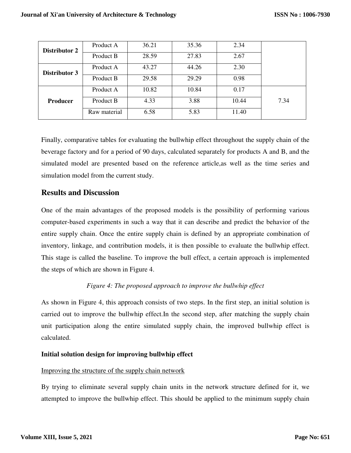| Distributor 2<br>Distributor 3 | Product A    | 36.21 | 35.36 | 2.34  |      |
|--------------------------------|--------------|-------|-------|-------|------|
|                                | Product B    | 28.59 | 27.83 | 2.67  |      |
|                                | Product A    | 43.27 | 44.26 | 2.30  |      |
|                                | Product B    | 29.58 | 29.29 | 0.98  |      |
|                                | Product A    | 10.82 | 10.84 | 0.17  |      |
| <b>Producer</b>                | Product B    | 4.33  | 3.88  | 10.44 | 7.34 |
|                                | Raw material | 6.58  | 5.83  | 11.40 |      |

Finally, comparative tables for evaluating the bullwhip effect throughout the supply chain of the beverage factory and for a period of 90 days, calculated separately for products A and B, and the simulated model are presented based on the reference article,as well as the time series and simulation model from the current study.

## **Results and Discussion**

One of the main advantages of the proposed models is the possibility of performing various computer-based experiments in such a way that it can describe and predict the behavior of the entire supply chain. Once the entire supply chain is defined by an appropriate combination of inventory, linkage, and contribution models, it is then possible to evaluate the bullwhip effect. This stage is called the baseline. To improve the bull effect, a certain approach is implemented the steps of which are shown in Figure 4.

## *Figure 4: The proposed approach to improve the bullwhip effect*

As shown in Figure 4, this approach consists of two steps. In the first step, an initial solution is carried out to improve the bullwhip effect.In the second step, after matching the supply chain unit participation along the entire simulated supply chain, the improved bullwhip effect is calculated.

## **Initial solution design for improving bullwhip effect**

## Improving the structure of the supply chain network

By trying to eliminate several supply chain units in the network structure defined for it, we attempted to improve the bullwhip effect. This should be applied to the minimum supply chain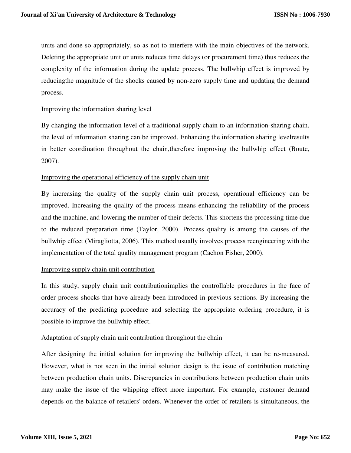units and done so appropriately, so as not to interfere with the main objectives of the network. Deleting the appropriate unit or units reduces time delays (or procurement time) thus reduces the complexity of the information during the update process. The bullwhip effect is improved by reducingthe magnitude of the shocks caused by non-zero supply time and updating the demand process.

#### Improving the information sharing level

By changing the information level of a traditional supply chain to an information-sharing chain, the level of information sharing can be improved. Enhancing the information sharing levelresults in better coordination throughout the chain,therefore improving the bullwhip effect (Boute, 2007).

## Improving the operational efficiency of the supply chain unit

By increasing the quality of the supply chain unit process, operational efficiency can be improved. Increasing the quality of the process means enhancing the reliability of the process and the machine, and lowering the number of their defects. This shortens the processing time due to the reduced preparation time (Taylor, 2000). Process quality is among the causes of the bullwhip effect (Miragliotta, 2006). This method usually involves process reengineering with the implementation of the total quality management program (Cachon Fisher, 2000).

## Improving supply chain unit contribution

In this study, supply chain unit contributionimplies the controllable procedures in the face of order process shocks that have already been introduced in previous sections. By increasing the accuracy of the predicting procedure and selecting the appropriate ordering procedure, it is possible to improve the bullwhip effect.

## Adaptation of supply chain unit contribution throughout the chain

After designing the initial solution for improving the bullwhip effect, it can be re-measured. However, what is not seen in the initial solution design is the issue of contribution matching between production chain units. Discrepancies in contributions between production chain units may make the issue of the whipping effect more important. For example, customer demand depends on the balance of retailers' orders. Whenever the order of retailers is simultaneous, the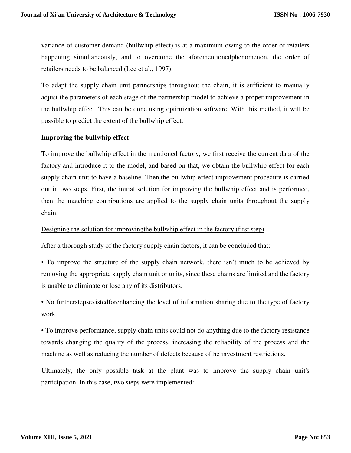variance of customer demand (bullwhip effect) is at a maximum owing to the order of retailers happening simultaneously, and to overcome the aforementionedphenomenon, the order of retailers needs to be balanced (Lee et al., 1997).

To adapt the supply chain unit partnerships throughout the chain, it is sufficient to manually adjust the parameters of each stage of the partnership model to achieve a proper improvement in the bullwhip effect. This can be done using optimization software. With this method, it will be possible to predict the extent of the bullwhip effect.

## **Improving the bullwhip effect**

To improve the bullwhip effect in the mentioned factory, we first receive the current data of the factory and introduce it to the model, and based on that, we obtain the bullwhip effect for each supply chain unit to have a baseline. Then,the bullwhip effect improvement procedure is carried out in two steps. First, the initial solution for improving the bullwhip effect and is performed, then the matching contributions are applied to the supply chain units throughout the supply chain.

#### Designing the solution for improvingthe bullwhip effect in the factory (first step)

After a thorough study of the factory supply chain factors, it can be concluded that:

• To improve the structure of the supply chain network, there isn't much to be achieved by removing the appropriate supply chain unit or units, since these chains are limited and the factory is unable to eliminate or lose any of its distributors.

• No furtherstepsexistedforenhancing the level of information sharing due to the type of factory work.

• To improve performance, supply chain units could not do anything due to the factory resistance towards changing the quality of the process, increasing the reliability of the process and the machine as well as reducing the number of defects because ofthe investment restrictions.

Ultimately, the only possible task at the plant was to improve the supply chain unit's participation. In this case, two steps were implemented: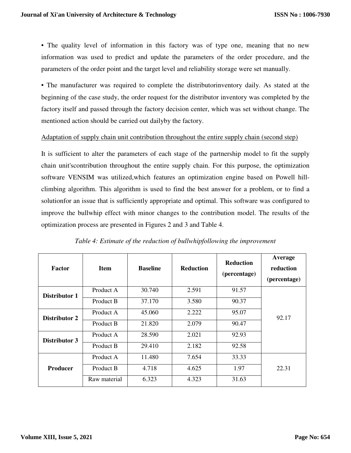• The quality level of information in this factory was of type one, meaning that no new information was used to predict and update the parameters of the order procedure, and the parameters of the order point and the target level and reliability storage were set manually.

• The manufacturer was required to complete the distributorinventory daily. As stated at the beginning of the case study, the order request for the distributor inventory was completed by the factory itself and passed through the factory decision center, which was set without change. The mentioned action should be carried out dailyby the factory.

#### Adaptation of supply chain unit contribution throughout the entire supply chain (second step)

It is sufficient to alter the parameters of each stage of the partnership model to fit the supply chain unit'scontribution throughout the entire supply chain. For this purpose, the optimization software VENSIM was utilized,which features an optimization engine based on Powell hillclimbing algorithm. This algorithm is used to find the best answer for a problem, or to find a solutionfor an issue that is sufficiently appropriate and optimal. This software was configured to improve the bullwhip effect with minor changes to the contribution model. The results of the optimization process are presented in Figures 2 and 3 and Table 4.

| Factor          | <b>Item</b>  | <b>Baseline</b> | <b>Reduction</b> | <b>Reduction</b><br>(percentage) | Average<br>reduction<br>(percentage) |
|-----------------|--------------|-----------------|------------------|----------------------------------|--------------------------------------|
| Distributor 1   | Product A    | 30.740          | 2.591            | 91.57                            |                                      |
|                 | Product B    | 37.170          | 3.580            | 90.37                            | 92.17                                |
| Distributor 2   | Product A    | 45.060          | 2.222            | 95.07                            |                                      |
|                 | Product B    | 21.820          | 2.079            | 90.47                            |                                      |
| Distributor 3   | Product A    | 28.590          | 2.021            | 92.93                            |                                      |
|                 | Product B    | 29.410          | 2.182            | 92.58                            |                                      |
|                 | Product A    | 11.480          | 7.654            | 33.33                            |                                      |
| <b>Producer</b> | Product B    | 4.718           | 4.625            | 1.97                             | 22.31                                |
|                 | Raw material | 6.323           | 4.323            | 31.63                            |                                      |

*Table 4: Estimate of the reduction of bullwhipfollowing the improvement*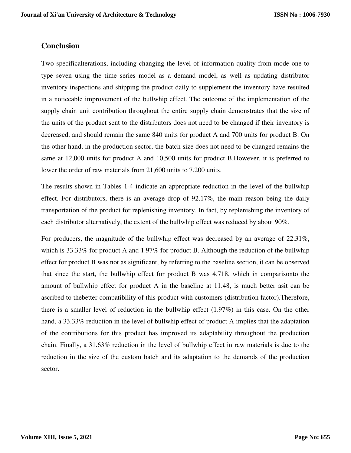# **Conclusion**

Two specificalterations, including changing the level of information quality from mode one to type seven using the time series model as a demand model, as well as updating distributor inventory inspections and shipping the product daily to supplement the inventory have resulted in a noticeable improvement of the bullwhip effect. The outcome of the implementation of the supply chain unit contribution throughout the entire supply chain demonstrates that the size of the units of the product sent to the distributors does not need to be changed if their inventory is decreased, and should remain the same 840 units for product A and 700 units for product B. On the other hand, in the production sector, the batch size does not need to be changed remains the same at 12,000 units for product A and 10,500 units for product B.However, it is preferred to lower the order of raw materials from 21,600 units to 7,200 units.

The results shown in Tables 1-4 indicate an appropriate reduction in the level of the bullwhip effect. For distributors, there is an average drop of 92.17%, the main reason being the daily transportation of the product for replenishing inventory. In fact, by replenishing the inventory of each distributor alternatively, the extent of the bullwhip effect was reduced by about 90%.

For producers, the magnitude of the bullwhip effect was decreased by an average of 22.31%, which is 33.33% for product A and 1.97% for product B. Although the reduction of the bullwhip effect for product B was not as significant, by referring to the baseline section, it can be observed that since the start, the bullwhip effect for product B was 4.718, which in comparisonto the amount of bullwhip effect for product A in the baseline at 11.48, is much better asit can be ascribed to thebetter compatibility of this product with customers (distribution factor).Therefore, there is a smaller level of reduction in the bullwhip effect (1.97%) in this case. On the other hand, a 33.33% reduction in the level of bullwhip effect of product A implies that the adaptation of the contributions for this product has improved its adaptability throughout the production chain. Finally, a 31.63% reduction in the level of bullwhip effect in raw materials is due to the reduction in the size of the custom batch and its adaptation to the demands of the production sector.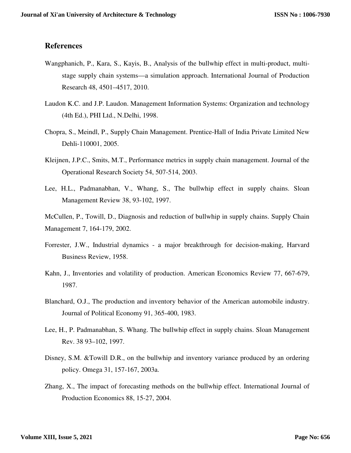## **References**

- Wangphanich, P., Kara, S., Kayis, B., Analysis of the bullwhip effect in multi-product, multistage supply chain systems—a simulation approach. International Journal of Production Research 48, 4501–4517, 2010.
- Laudon K.C. and J.P. Laudon. Management Information Systems: Organization and technology (4th Ed.), PHI Ltd., N.Delhi, 1998.
- Chopra, S., Meindl, P., Supply Chain Management. Prentice-Hall of India Private Limited New Dehli-110001, 2005.
- Kleijnen, J.P.C., Smits, M.T., Performance metrics in supply chain management. Journal of the Operational Research Society 54, 507-514, 2003.
- Lee, H.L., Padmanabhan, V., Whang, S., The bullwhip effect in supply chains. Sloan Management Review 38, 93-102, 1997.
- McCullen, P., Towill, D., Diagnosis and reduction of bullwhip in supply chains. Supply Chain Management 7, 164-179, 2002.
- Forrester, J.W., Industrial dynamics a major breakthrough for decision-making, Harvard Business Review, 1958.
- Kahn, J., Inventories and volatility of production. American Economics Review 77, 667-679, 1987.
- Blanchard, O.J., The production and inventory behavior of the American automobile industry. Journal of Political Economy 91, 365-400, 1983.
- Lee, H., P. Padmanabhan, S. Whang. The bullwhip effect in supply chains. Sloan Management Rev. 38 93–102, 1997.
- Disney, S.M. &Towill D.R., on the bullwhip and inventory variance produced by an ordering policy. Omega 31, 157-167, 2003a.
- Zhang, X., The impact of forecasting methods on the bullwhip effect. International Journal of Production Economics 88, 15-27, 2004.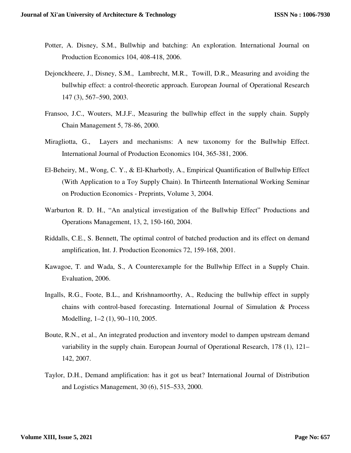- Potter, A. Disney, S.M., Bullwhip and batching: An exploration. International Journal on Production Economics 104, 408-418, 2006.
- Dejonckheere, J., Disney, S.M., Lambrecht, M.R., Towill, D.R., Measuring and avoiding the bullwhip effect: a control-theoretic approach. European Journal of Operational Research 147 (3), 567–590, 2003.
- Fransoo, J.C., Wouters, M.J.F., Measuring the bullwhip effect in the supply chain. Supply Chain Management 5, 78-86, 2000.
- Miragliotta, G., Layers and mechanisms: A new taxonomy for the Bullwhip Effect. International Journal of Production Economics 104, 365-381, 2006.
- El-Beheiry, M., Wong, C. Y., & El-Kharbotly, A., Empirical Quantification of Bullwhip Effect (With Application to a Toy Supply Chain). In Thirteenth International Working Seminar on Production Economics - Preprints, Volume 3, 2004.
- Warburton R. D. H., "An analytical investigation of the Bullwhip Effect" Productions and Operations Management, 13, 2, 150-160, 2004.
- Riddalls, C.E., S. Bennett, The optimal control of batched production and its effect on demand amplification, Int. J. Production Economics 72, 159-168, 2001.
- Kawagoe, T. and Wada, S., A Counterexample for the Bullwhip Effect in a Supply Chain. Evaluation, 2006.
- Ingalls, R.G., Foote, B.L., and Krishnamoorthy, A., Reducing the bullwhip effect in supply chains with control-based forecasting. International Journal of Simulation & Process Modelling, 1–2 (1), 90–110, 2005.
- Boute, R.N., et al., An integrated production and inventory model to dampen upstream demand variability in the supply chain. European Journal of Operational Research, 178 (1), 121– 142, 2007.
- Taylor, D.H., Demand amplification: has it got us beat? International Journal of Distribution and Logistics Management, 30 (6), 515–533, 2000.